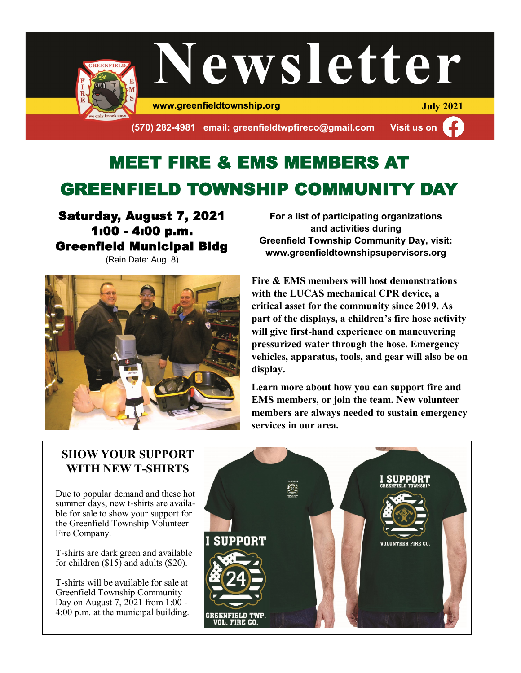

# MEET FIRE & EMS MEMBERS AT GREENFIELD TOWNSHIP COMMUNITY DAY

#### Saturday, August 7, 2021 1:00 - 4:00 p.m. Greenfield Municipal Bldg (Rain Date: Aug. 8)



**For a list of participating organizations and activities during Greenfield Township Community Day, visit: www.greenfieldtownshipsupervisors.org**

**Fire & EMS members will host demonstrations with the LUCAS mechanical CPR device, a critical asset for the community since 2019. As part of the displays, a children's fire hose activity will give first-hand experience on maneuvering pressurized water through the hose. Emergency vehicles, apparatus, tools, and gear will also be on display.** 

**Learn more about how you can support fire and EMS members, or join the team. New volunteer members are always needed to sustain emergency services in our area.**

### **SHOW YOUR SUPPORT WITH NEW T-SHIRTS**

Due to popular demand and these hot summer days, new t-shirts are available for sale to show your support for the Greenfield Township Volunteer Fire Company.

T-shirts are dark green and available for children (\$15) and adults (\$20).

T-shirts will be available for sale at Greenfield Township Community Day on August 7,  $2021$  from 1:00 -4:00 p.m. at the municipal building.